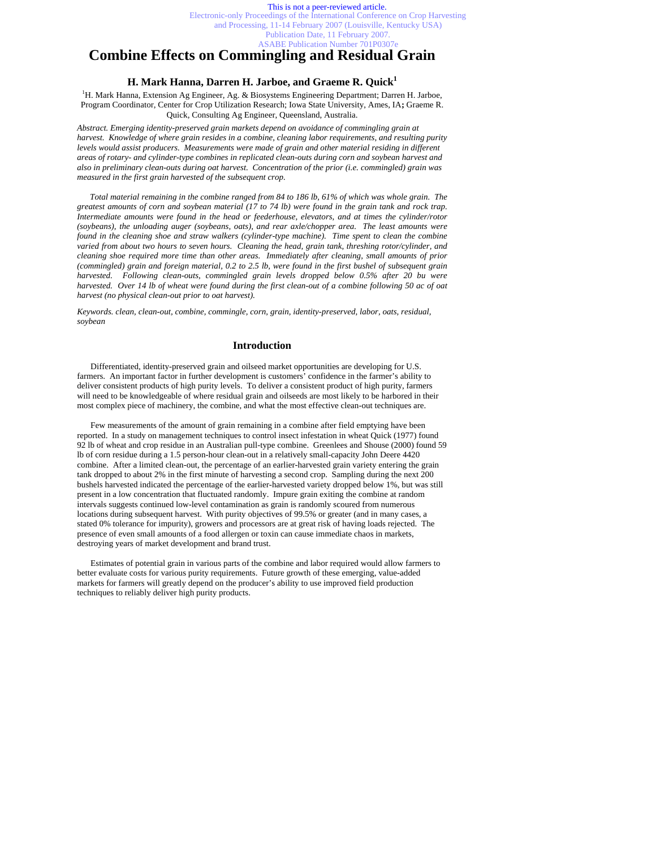### This is not a peer-reviewed article.

Electronic-only Proceedings of the International Conference on Crop Harvesting and Processing, 11-14 February 2007 (Louisville, Kentucky USA) Publication Date, 11 February 2007. ASABE Publication Number 701P0307

# **Combine Effects on Commingling and Residual Grain**

### **H. Mark Hanna, Darren H. Jarboe, and Graeme R. Quick**<sup>1</sup>

<sup>1</sup>H. Mark Hanna, Extension Ag Engineer, Ag. & Biosystems Engineering Department; Darren H. Jarboe, Program Coordinator, Center for Crop Utilization Research; Iowa State University, Ames, IA**;** Graeme R. Quick, Consulting Ag Engineer, Queensland, Australia.

*Abstract. Emerging identity-preserved grain markets depend on avoidance of commingling grain at harvest. Knowledge of where grain resides in a combine, cleaning labor requirements, and resulting purity levels would assist producers. Measurements were made of grain and other material residing in different areas of rotary- and cylinder-type combines in replicated clean-outs during corn and soybean harvest and also in preliminary clean-outs during oat harvest. Concentration of the prior (i.e. commingled) grain was measured in the first grain harvested of the subsequent crop.* 

*Total material remaining in the combine ranged from 84 to 186 lb, 61% of which was whole grain. The greatest amounts of corn and soybean material (17 to 74 lb) were found in the grain tank and rock trap. Intermediate amounts were found in the head or feederhouse, elevators, and at times the cylinder/rotor (soybeans), the unloading auger (soybeans, oats), and rear axle/chopper area. The least amounts were found in the cleaning shoe and straw walkers (cylinder-type machine). Time spent to clean the combine varied from about two hours to seven hours. Cleaning the head, grain tank, threshing rotor/cylinder, and cleaning shoe required more time than other areas. Immediately after cleaning, small amounts of prior (commingled) grain and foreign material, 0.2 to 2.5 lb, were found in the first bushel of subsequent grain harvested. Following clean-outs, commingled grain levels dropped below 0.5% after 20 bu were harvested. Over 14 lb of wheat were found during the first clean-out of a combine following 50 ac of oat harvest (no physical clean-out prior to oat harvest).* 

*Keywords. clean, clean-out, combine, commingle, corn, grain, identity-preserved, labor, oats, residual, soybean* 

### **Introduction**

Differentiated, identity-preserved grain and oilseed market opportunities are developing for U.S. farmers. An important factor in further development is customers' confidence in the farmer's ability to deliver consistent products of high purity levels. To deliver a consistent product of high purity, farmers will need to be knowledgeable of where residual grain and oilseeds are most likely to be harbored in their most complex piece of machinery, the combine, and what the most effective clean-out techniques are.

Few measurements of the amount of grain remaining in a combine after field emptying have been reported. In a study on management techniques to control insect infestation in wheat Quick (1977) found 92 lb of wheat and crop residue in an Australian pull-type combine. Greenlees and Shouse (2000) found 59 lb of corn residue during a 1.5 person-hour clean-out in a relatively small-capacity John Deere 4420 combine. After a limited clean-out, the percentage of an earlier-harvested grain variety entering the grain tank dropped to about 2% in the first minute of harvesting a second crop. Sampling during the next 200 bushels harvested indicated the percentage of the earlier-harvested variety dropped below 1%, but was still present in a low concentration that fluctuated randomly. Impure grain exiting the combine at random intervals suggests continued low-level contamination as grain is randomly scoured from numerous locations during subsequent harvest. With purity objectives of 99.5% or greater (and in many cases, a stated 0% tolerance for impurity), growers and processors are at great risk of having loads rejected. The presence of even small amounts of a food allergen or toxin can cause immediate chaos in markets, destroying years of market development and brand trust.

Estimates of potential grain in various parts of the combine and labor required would allow farmers to better evaluate costs for various purity requirements. Future growth of these emerging, value-added markets for farmers will greatly depend on the producer's ability to use improved field production techniques to reliably deliver high purity products.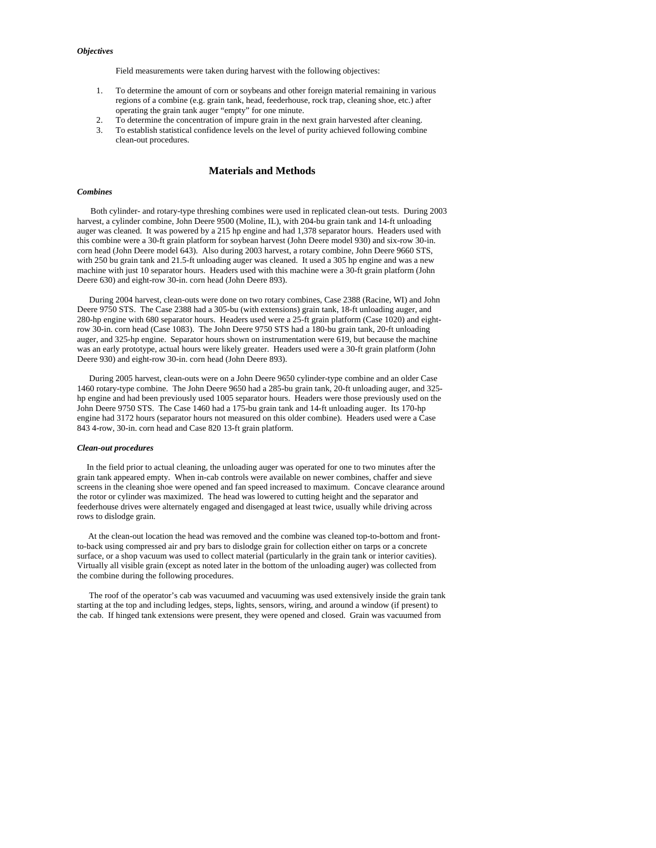### *Objectives*

Field measurements were taken during harvest with the following objectives:

- 1. To determine the amount of corn or soybeans and other foreign material remaining in various regions of a combine (e.g. grain tank, head, feederhouse, rock trap, cleaning shoe, etc.) after operating the grain tank auger "empty" for one minute.
- 2. To determine the concentration of impure grain in the next grain harvested after cleaning.
- To establish statistical confidence levels on the level of purity achieved following combine clean-out procedures.

# **Materials and Methods**

#### *Combines*

Both cylinder- and rotary-type threshing combines were used in replicated clean-out tests. During 2003 harvest, a cylinder combine, John Deere 9500 (Moline, IL), with 204-bu grain tank and 14-ft unloading auger was cleaned. It was powered by a 215 hp engine and had 1,378 separator hours. Headers used with this combine were a 30-ft grain platform for soybean harvest (John Deere model 930) and six-row 30-in. corn head (John Deere model 643). Also during 2003 harvest, a rotary combine, John Deere 9660 STS, with 250 bu grain tank and 21.5-ft unloading auger was cleaned. It used a 305 hp engine and was a new machine with just 10 separator hours. Headers used with this machine were a 30-ft grain platform (John Deere 630) and eight-row 30-in. corn head (John Deere 893).

During 2004 harvest, clean-outs were done on two rotary combines, Case 2388 (Racine, WI) and John Deere 9750 STS. The Case 2388 had a 305-bu (with extensions) grain tank, 18-ft unloading auger, and 280-hp engine with 680 separator hours. Headers used were a 25-ft grain platform (Case 1020) and eightrow 30-in. corn head (Case 1083). The John Deere 9750 STS had a 180-bu grain tank, 20-ft unloading auger, and 325-hp engine. Separator hours shown on instrumentation were 619, but because the machine was an early prototype, actual hours were likely greater. Headers used were a 30-ft grain platform (John Deere 930) and eight-row 30-in. corn head (John Deere 893).

During 2005 harvest, clean-outs were on a John Deere 9650 cylinder-type combine and an older Case 1460 rotary-type combine. The John Deere 9650 had a 285-bu grain tank, 20-ft unloading auger, and 325 hp engine and had been previously used 1005 separator hours. Headers were those previously used on the John Deere 9750 STS. The Case 1460 had a 175-bu grain tank and 14-ft unloading auger. Its 170-hp engine had 3172 hours (separator hours not measured on this older combine). Headers used were a Case 843 4-row, 30-in. corn head and Case 820 13-ft grain platform.

# *Clean-out procedures*

In the field prior to actual cleaning, the unloading auger was operated for one to two minutes after the grain tank appeared empty. When in-cab controls were available on newer combines, chaffer and sieve screens in the cleaning shoe were opened and fan speed increased to maximum. Concave clearance around the rotor or cylinder was maximized. The head was lowered to cutting height and the separator and feederhouse drives were alternately engaged and disengaged at least twice, usually while driving across rows to dislodge grain.

At the clean-out location the head was removed and the combine was cleaned top-to-bottom and frontto-back using compressed air and pry bars to dislodge grain for collection either on tarps or a concrete surface, or a shop vacuum was used to collect material (particularly in the grain tank or interior cavities). Virtually all visible grain (except as noted later in the bottom of the unloading auger) was collected from the combine during the following procedures.

The roof of the operator's cab was vacuumed and vacuuming was used extensively inside the grain tank starting at the top and including ledges, steps, lights, sensors, wiring, and around a window (if present) to the cab. If hinged tank extensions were present, they were opened and closed. Grain was vacuumed from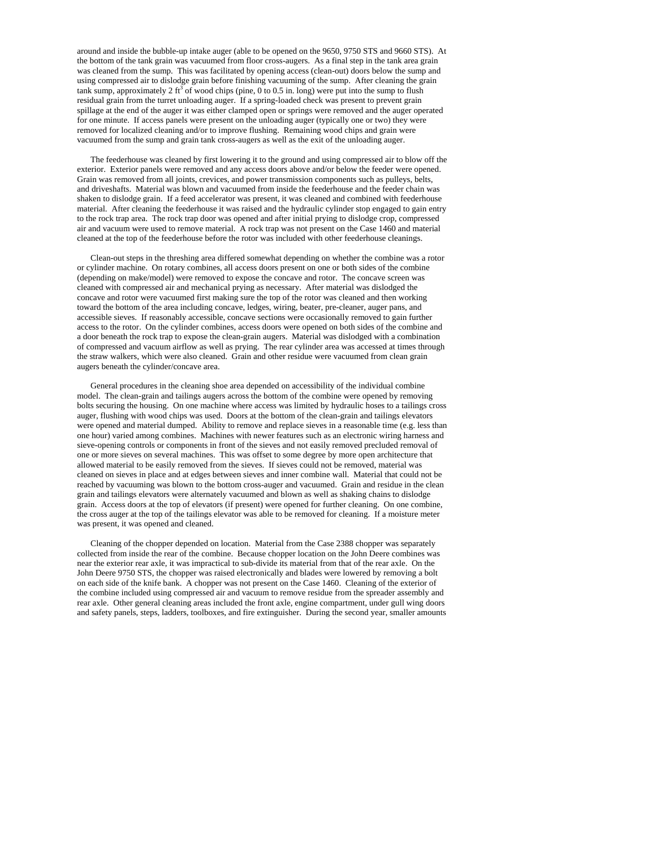around and inside the bubble-up intake auger (able to be opened on the 9650, 9750 STS and 9660 STS). At the bottom of the tank grain was vacuumed from floor cross-augers. As a final step in the tank area grain was cleaned from the sump. This was facilitated by opening access (clean-out) doors below the sump and using compressed air to dislodge grain before finishing vacuuming of the sump. After cleaning the grain tank sump, approximately 2 ft<sup>3</sup> of wood chips (pine, 0 to 0.5 in. long) were put into the sump to flush residual grain from the turret unloading auger. If a spring-loaded check was present to prevent grain spillage at the end of the auger it was either clamped open or springs were removed and the auger operated for one minute. If access panels were present on the unloading auger (typically one or two) they were removed for localized cleaning and/or to improve flushing. Remaining wood chips and grain were vacuumed from the sump and grain tank cross-augers as well as the exit of the unloading auger.

The feederhouse was cleaned by first lowering it to the ground and using compressed air to blow off the exterior. Exterior panels were removed and any access doors above and/or below the feeder were opened. Grain was removed from all joints, crevices, and power transmission components such as pulleys, belts, and driveshafts. Material was blown and vacuumed from inside the feederhouse and the feeder chain was shaken to dislodge grain. If a feed accelerator was present, it was cleaned and combined with feederhouse material. After cleaning the feederhouse it was raised and the hydraulic cylinder stop engaged to gain entry to the rock trap area. The rock trap door was opened and after initial prying to dislodge crop, compressed air and vacuum were used to remove material. A rock trap was not present on the Case 1460 and material cleaned at the top of the feederhouse before the rotor was included with other feederhouse cleanings.

Clean-out steps in the threshing area differed somewhat depending on whether the combine was a rotor or cylinder machine. On rotary combines, all access doors present on one or both sides of the combine (depending on make/model) were removed to expose the concave and rotor. The concave screen was cleaned with compressed air and mechanical prying as necessary. After material was dislodged the concave and rotor were vacuumed first making sure the top of the rotor was cleaned and then working toward the bottom of the area including concave, ledges, wiring, beater, pre-cleaner, auger pans, and accessible sieves. If reasonably accessible, concave sections were occasionally removed to gain further access to the rotor. On the cylinder combines, access doors were opened on both sides of the combine and a door beneath the rock trap to expose the clean-grain augers. Material was dislodged with a combination of compressed and vacuum airflow as well as prying. The rear cylinder area was accessed at times through the straw walkers, which were also cleaned. Grain and other residue were vacuumed from clean grain augers beneath the cylinder/concave area.

General procedures in the cleaning shoe area depended on accessibility of the individual combine model. The clean-grain and tailings augers across the bottom of the combine were opened by removing bolts securing the housing. On one machine where access was limited by hydraulic hoses to a tailings cross auger, flushing with wood chips was used. Doors at the bottom of the clean-grain and tailings elevators were opened and material dumped. Ability to remove and replace sieves in a reasonable time (e.g. less than one hour) varied among combines. Machines with newer features such as an electronic wiring harness and sieve-opening controls or components in front of the sieves and not easily removed precluded removal of one or more sieves on several machines. This was offset to some degree by more open architecture that allowed material to be easily removed from the sieves. If sieves could not be removed, material was cleaned on sieves in place and at edges between sieves and inner combine wall. Material that could not be reached by vacuuming was blown to the bottom cross-auger and vacuumed. Grain and residue in the clean grain and tailings elevators were alternately vacuumed and blown as well as shaking chains to dislodge grain. Access doors at the top of elevators (if present) were opened for further cleaning. On one combine, the cross auger at the top of the tailings elevator was able to be removed for cleaning. If a moisture meter was present, it was opened and cleaned.

Cleaning of the chopper depended on location. Material from the Case 2388 chopper was separately collected from inside the rear of the combine. Because chopper location on the John Deere combines was near the exterior rear axle, it was impractical to sub-divide its material from that of the rear axle. On the John Deere 9750 STS, the chopper was raised electronically and blades were lowered by removing a bolt on each side of the knife bank. A chopper was not present on the Case 1460. Cleaning of the exterior of the combine included using compressed air and vacuum to remove residue from the spreader assembly and rear axle. Other general cleaning areas included the front axle, engine compartment, under gull wing doors and safety panels, steps, ladders, toolboxes, and fire extinguisher. During the second year, smaller amounts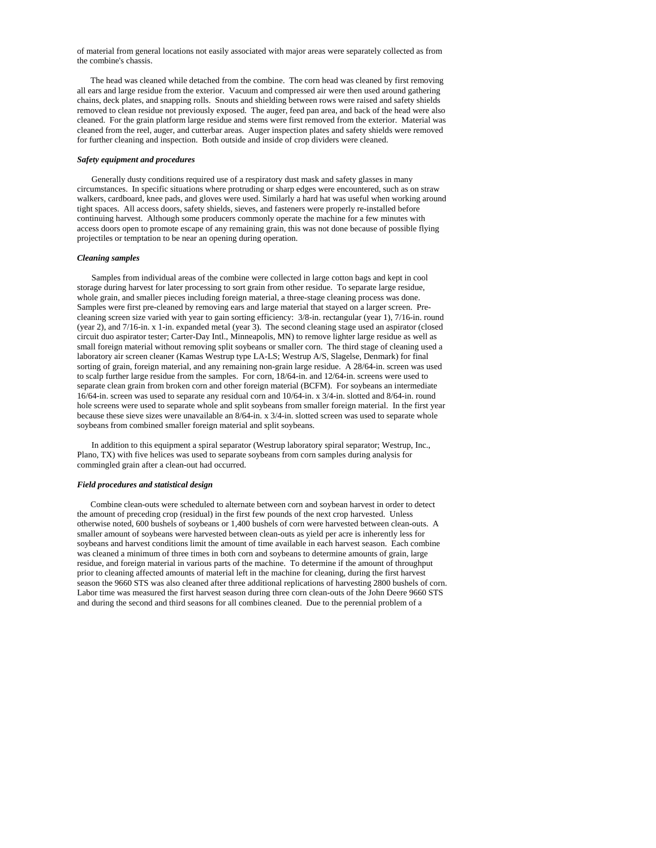of material from general locations not easily associated with major areas were separately collected as from the combine's chassis.

The head was cleaned while detached from the combine. The corn head was cleaned by first removing all ears and large residue from the exterior. Vacuum and compressed air were then used around gathering chains, deck plates, and snapping rolls. Snouts and shielding between rows were raised and safety shields removed to clean residue not previously exposed. The auger, feed pan area, and back of the head were also cleaned. For the grain platform large residue and stems were first removed from the exterior. Material was cleaned from the reel, auger, and cutterbar areas. Auger inspection plates and safety shields were removed for further cleaning and inspection. Both outside and inside of crop dividers were cleaned.

#### *Safety equipment and procedures*

Generally dusty conditions required use of a respiratory dust mask and safety glasses in many circumstances. In specific situations where protruding or sharp edges were encountered, such as on straw walkers, cardboard, knee pads, and gloves were used. Similarly a hard hat was useful when working around tight spaces. All access doors, safety shields, sieves, and fasteners were properly re-installed before continuing harvest. Although some producers commonly operate the machine for a few minutes with access doors open to promote escape of any remaining grain, this was not done because of possible flying projectiles or temptation to be near an opening during operation.

### *Cleaning samples*

Samples from individual areas of the combine were collected in large cotton bags and kept in cool storage during harvest for later processing to sort grain from other residue. To separate large residue, whole grain, and smaller pieces including foreign material, a three-stage cleaning process was done. Samples were first pre-cleaned by removing ears and large material that stayed on a larger screen. Precleaning screen size varied with year to gain sorting efficiency: 3/8-in. rectangular (year 1), 7/16-in. round (year 2), and 7/16-in. x 1-in. expanded metal (year 3). The second cleaning stage used an aspirator (closed circuit duo aspirator tester; Carter-Day Intl., Minneapolis, MN) to remove lighter large residue as well as small foreign material without removing split soybeans or smaller corn. The third stage of cleaning used a laboratory air screen cleaner (Kamas Westrup type LA-LS; Westrup A/S, Slagelse, Denmark) for final sorting of grain, foreign material, and any remaining non-grain large residue. A 28/64-in. screen was used to scalp further large residue from the samples. For corn, 18/64-in. and 12/64-in. screens were used to separate clean grain from broken corn and other foreign material (BCFM). For soybeans an intermediate 16/64-in. screen was used to separate any residual corn and 10/64-in. x 3/4-in. slotted and 8/64-in. round hole screens were used to separate whole and split soybeans from smaller foreign material. In the first year because these sieve sizes were unavailable an 8/64-in. x 3/4-in. slotted screen was used to separate whole soybeans from combined smaller foreign material and split soybeans.

In addition to this equipment a spiral separator (Westrup laboratory spiral separator; Westrup, Inc., Plano, TX) with five helices was used to separate soybeans from corn samples during analysis for commingled grain after a clean-out had occurred.

#### *Field procedures and statistical design*

Combine clean-outs were scheduled to alternate between corn and soybean harvest in order to detect the amount of preceding crop (residual) in the first few pounds of the next crop harvested. Unless otherwise noted, 600 bushels of soybeans or 1,400 bushels of corn were harvested between clean-outs. A smaller amount of soybeans were harvested between clean-outs as yield per acre is inherently less for soybeans and harvest conditions limit the amount of time available in each harvest season. Each combine was cleaned a minimum of three times in both corn and soybeans to determine amounts of grain, large residue, and foreign material in various parts of the machine. To determine if the amount of throughput prior to cleaning affected amounts of material left in the machine for cleaning, during the first harvest season the 9660 STS was also cleaned after three additional replications of harvesting 2800 bushels of corn. Labor time was measured the first harvest season during three corn clean-outs of the John Deere 9660 STS and during the second and third seasons for all combines cleaned. Due to the perennial problem of a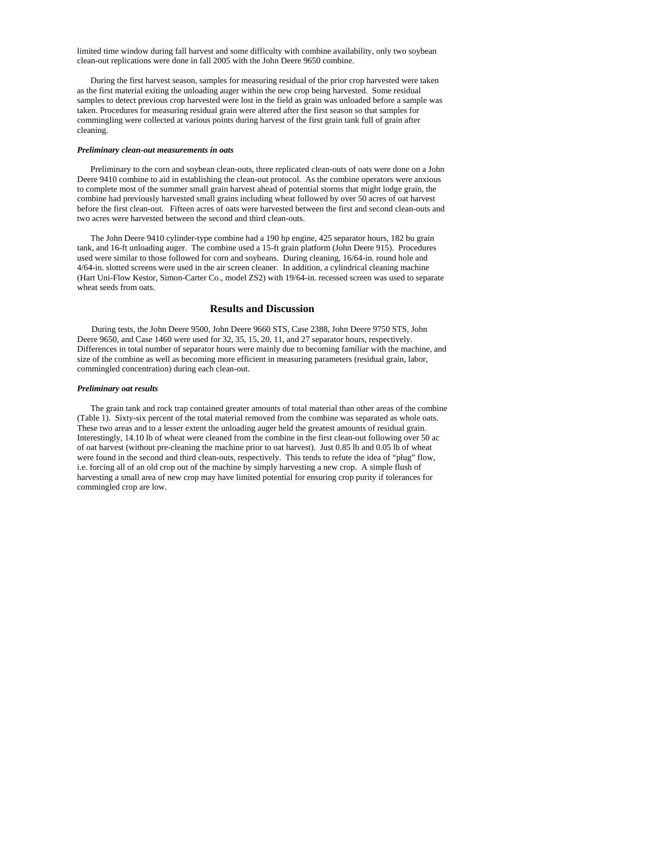limited time window during fall harvest and some difficulty with combine availability, only two soybean clean-out replications were done in fall 2005 with the John Deere 9650 combine.

During the first harvest season, samples for measuring residual of the prior crop harvested were taken as the first material exiting the unloading auger within the new crop being harvested. Some residual samples to detect previous crop harvested were lost in the field as grain was unloaded before a sample was taken. Procedures for measuring residual grain were altered after the first season so that samples for commingling were collected at various points during harvest of the first grain tank full of grain after cleaning.

#### *Preliminary clean-out measurements in oats*

Preliminary to the corn and soybean clean-outs, three replicated clean-outs of oats were done on a John Deere 9410 combine to aid in establishing the clean-out protocol. As the combine operators were anxious to complete most of the summer small grain harvest ahead of potential storms that might lodge grain, the combine had previously harvested small grains including wheat followed by over 50 acres of oat harvest before the first clean-out. Fifteen acres of oats were harvested between the first and second clean-outs and two acres were harvested between the second and third clean-outs.

The John Deere 9410 cylinder-type combine had a 190 hp engine, 425 separator hours, 182 bu grain tank, and 16-ft unloading auger. The combine used a 15-ft grain platform (John Deere 915). Procedures used were similar to those followed for corn and soybeans. During cleaning, 16/64-in. round hole and 4/64-in. slotted screens were used in the air screen cleaner. In addition, a cylindrical cleaning machine (Hart Uni-Flow Kestor, Simon-Carter Co., model ZS2) with 19/64-in. recessed screen was used to separate wheat seeds from oats.

### **Results and Discussion**

During tests, the John Deere 9500, John Deere 9660 STS, Case 2388, John Deere 9750 STS, John Deere 9650, and Case 1460 were used for 32, 35, 15, 20, 11, and 27 separator hours, respectively. Differences in total number of separator hours were mainly due to becoming familiar with the machine, and size of the combine as well as becoming more efficient in measuring parameters (residual grain, labor, commingled concentration) during each clean-out.

#### *Preliminary oat results*

The grain tank and rock trap contained greater amounts of total material than other areas of the combine (Table 1). Sixty-six percent of the total material removed from the combine was separated as whole oats. These two areas and to a lesser extent the unloading auger held the greatest amounts of residual grain. Interestingly, 14.10 lb of wheat were cleaned from the combine in the first clean-out following over 50 ac of oat harvest (without pre-cleaning the machine prior to oat harvest). Just 0.85 lb and 0.05 lb of wheat were found in the second and third clean-outs, respectively. This tends to refute the idea of "plug" flow, i.e. forcing all of an old crop out of the machine by simply harvesting a new crop. A simple flush of harvesting a small area of new crop may have limited potential for ensuring crop purity if tolerances for commingled crop are low.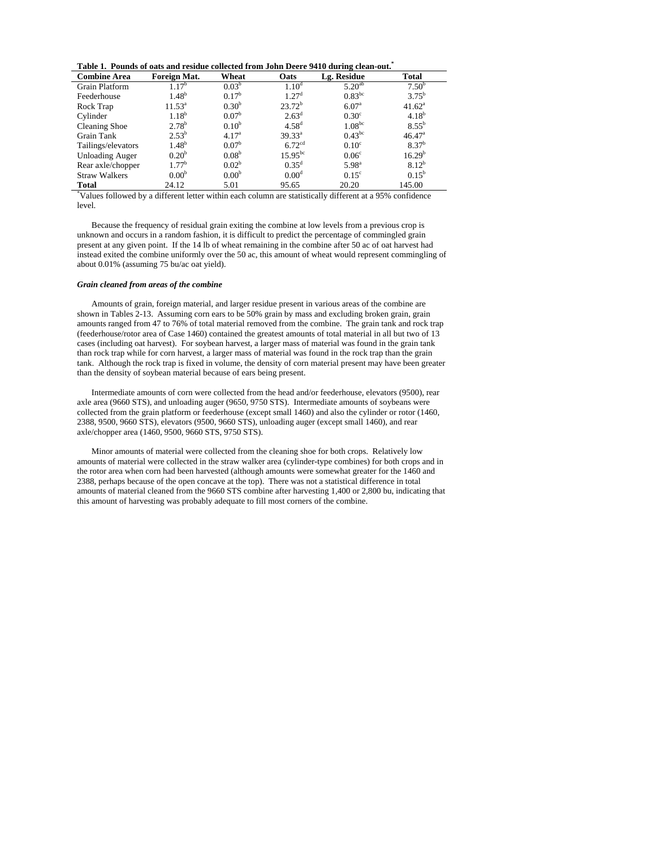**Table 1. Pounds of oats and residue collected from John Deere 9410 during clean-out.\***

| <b>Combine Area</b>                                                                                      | Foreign Mat.      | Wheat             | Oats               | $\cdot$<br>Lg. Residue | Total              |
|----------------------------------------------------------------------------------------------------------|-------------------|-------------------|--------------------|------------------------|--------------------|
| <b>Grain Platform</b>                                                                                    | 1.17 <sup>b</sup> | 0.03 <sup>b</sup> | $1.10^d$           | $5.20^{ab}$            | 7.50 <sup>b</sup>  |
| Feederhouse                                                                                              | $1.48^{b}$        | $0.17^{\rm b}$    | 1.27 <sup>d</sup>  | $0.83^{bc}$            | $3.75^{b}$         |
| Rock Trap                                                                                                | $11.53^{\circ}$   | 0.30 <sup>b</sup> | $23.72^b$          | 6.07 <sup>a</sup>      | $41.62^{\circ}$    |
| Cylinder                                                                                                 | $1.18^{b}$        | 0.07 <sup>b</sup> | $2.63^{\rm d}$     | 0.30 <sup>c</sup>      | $4.18^{b}$         |
| Cleaning Shoe                                                                                            | $2.78^{b}$        | 0.10 <sup>b</sup> | $4.58^{d}$         | $1.08^{bc}$            | $8.55^{b}$         |
| Grain Tank                                                                                               | $2.53^{b}$        | 4.17 <sup>a</sup> | $39.33^{a}$        | $0.43^{bc}$            | $46.47^{\circ}$    |
| Tailings/elevators                                                                                       | $1.48^{b}$        | 0.07 <sup>b</sup> | 6.72 <sup>cd</sup> | 0.10 <sup>c</sup>      | 8.37 <sup>b</sup>  |
| <b>Unloading Auger</b>                                                                                   | 0.20 <sup>b</sup> | 0.08 <sup>b</sup> | $15.95^{bc}$       | 0.06 <sup>c</sup>      | 16.29 <sup>b</sup> |
| Rear axle/chopper                                                                                        | 1.77 <sup>b</sup> | 0.02 <sup>b</sup> | $0.35^{\rm d}$     | 5.98 <sup>a</sup>      | $8.12^{b}$         |
| <b>Straw Walkers</b>                                                                                     | 0.00 <sup>b</sup> | 0.00 <sup>b</sup> | 0.00 <sup>d</sup>  | $0.15^{\circ}$         | $0.15^{\rm b}$     |
| Total                                                                                                    | 24.12             | 5.01              | 95.65              | 20.20                  | 145.00             |
| Values followed by a different letter within each column are statistically different at a 95% confidence |                   |                   |                    |                        |                    |

Because the frequency of residual grain exiting the combine at low levels from a previous crop is unknown and occurs in a random fashion, it is difficult to predict the percentage of commingled grain present at any given point. If the 14 lb of wheat remaining in the combine after 50 ac of oat harvest had instead exited the combine uniformly over the 50 ac, this amount of wheat would represent commingling of about 0.01% (assuming 75 bu/ac oat yield).

#### *Grain cleaned from areas of the combine*

Amounts of grain, foreign material, and larger residue present in various areas of the combine are shown in Tables 2-13. Assuming corn ears to be 50% grain by mass and excluding broken grain, grain amounts ranged from 47 to 76% of total material removed from the combine. The grain tank and rock trap (feederhouse/rotor area of Case 1460) contained the greatest amounts of total material in all but two of 13 cases (including oat harvest). For soybean harvest, a larger mass of material was found in the grain tank than rock trap while for corn harvest, a larger mass of material was found in the rock trap than the grain tank. Although the rock trap is fixed in volume, the density of corn material present may have been greater than the density of soybean material because of ears being present.

Intermediate amounts of corn were collected from the head and/or feederhouse, elevators (9500), rear axle area (9660 STS), and unloading auger (9650, 9750 STS). Intermediate amounts of soybeans were collected from the grain platform or feederhouse (except small 1460) and also the cylinder or rotor (1460, 2388, 9500, 9660 STS), elevators (9500, 9660 STS), unloading auger (except small 1460), and rear axle/chopper area (1460, 9500, 9660 STS, 9750 STS).

Minor amounts of material were collected from the cleaning shoe for both crops. Relatively low amounts of material were collected in the straw walker area (cylinder-type combines) for both crops and in the rotor area when corn had been harvested (although amounts were somewhat greater for the 1460 and 2388, perhaps because of the open concave at the top). There was not a statistical difference in total amounts of material cleaned from the 9660 STS combine after harvesting 1,400 or 2,800 bu, indicating that this amount of harvesting was probably adequate to fill most corners of the combine.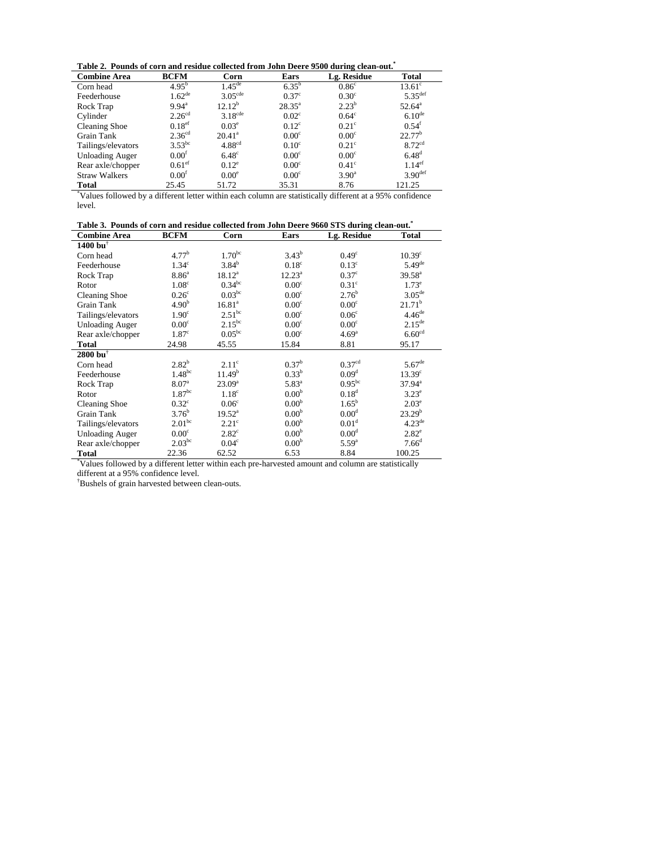**Table 2. Pounds of corn and residue collected from John Deere 9500 during clean-out.\***

| <b>Combine Area</b>                                                                                       | <b>BCFM</b>        | Corn                | Ears              | Lg. Residue       | <b>Total</b>         |
|-----------------------------------------------------------------------------------------------------------|--------------------|---------------------|-------------------|-------------------|----------------------|
| Corn head                                                                                                 | $4.95^{b}$         | $1.45^{\text{de}}$  | $6.35^{b}$        | 0.86 <sup>c</sup> | $13.61^\circ$        |
| Feederhouse                                                                                               | $1.62^{\text{de}}$ | 3.05 <sup>cde</sup> | 0.37 <sup>c</sup> | 0.30 <sup>c</sup> | $5.35^{\text{def}}$  |
| Rock Trap                                                                                                 | $9.94^{\circ}$     | $12.12^{b}$         | $28.35^{\circ}$   | $2.23^{b}$        | $52.64^{\circ}$      |
| Cylinder                                                                                                  | 2.26 <sup>cd</sup> | $3.18^{\text{cde}}$ | $0.02^{\circ}$    | $0.64^{\circ}$    | $6.10^{de}$          |
| Cleaning Shoe                                                                                             | 0.18 <sup>ef</sup> | 0.03 <sup>e</sup>   | $0.12^{\circ}$    | 0.21 <sup>c</sup> | $0.54^t$             |
| Grain Tank                                                                                                | 2.36 <sup>cd</sup> | $20.41^{\circ}$     | 0.00 <sup>c</sup> | 0.00 <sup>c</sup> | $22.77^{\rm b}$      |
| Tailings/elevators                                                                                        | $3.53^{bc}$        | 4.88 <sup>cd</sup>  | 0.10 <sup>c</sup> | 0.21 <sup>c</sup> | 8.72 <sup>cd</sup>   |
| <b>Unloading Auger</b>                                                                                    | 0.00 <sup>f</sup>  | 6.48 <sup>c</sup>   | 0.00 <sup>c</sup> | 0.00 <sup>c</sup> | $6.48^{d}$           |
| Rear axle/chopper                                                                                         | 0.61 <sup>ef</sup> | $0.12^e$            | 0.00 <sup>c</sup> | 0.41 <sup>c</sup> | $1.14$ <sup>ef</sup> |
| <b>Straw Walkers</b>                                                                                      | 0.00 <sup>f</sup>  | 0.00 <sup>e</sup>   | 0.00 <sup>c</sup> | $3.90^{\rm a}$    | 3.90 <sup>def</sup>  |
| <b>Total</b>                                                                                              | 25.45              | 51.72               | 35.31             | 8.76              | 121.25               |
| *Values followed by a different letter within each column are statistically different at a 95% confidence |                    |                     |                   |                   |                      |

**Table 3. Pounds of corn and residue collected from John Deere 9660 STS during clean-out.\***

| <b>Combine Area</b>                     | <b>BCFM</b>        | Corn               | <b>Ears</b>       | <b>Lg. Residue</b> | <b>Total</b>         |
|-----------------------------------------|--------------------|--------------------|-------------------|--------------------|----------------------|
| 1400 bu <sup><math>\dagger</math></sup> |                    |                    |                   |                    |                      |
| Corn head                               | 4.77 <sup>b</sup>  | $1.70^{bc}$        | $3.43^{b}$        | 0.49 <sup>c</sup>  | 10.39 <sup>c</sup>   |
| Feederhouse                             | $1.34^\circ$       | $3.84^{b}$         | 0.18 <sup>c</sup> | $0.13^{\circ}$     | $5.49^{de}$          |
| Rock Trap                               | $8.86^{a}$         | $18.12^a$          | $12.23^a$         | 0.37 <sup>c</sup>  | $39.58^{a}$          |
| Rotor                                   | 1.08 <sup>c</sup>  | $0.34^{bc}$        | 0.00 <sup>c</sup> | 0.31 <sup>c</sup>  | 1.73 <sup>e</sup>    |
| Cleaning Shoe                           | 0.26 <sup>c</sup>  | $0.03^{bc}$        | 0.00 <sup>c</sup> | $2.76^{b}$         | $3.05^{\text{de}}$   |
| Grain Tank                              | 4.90 <sup>b</sup>  | 16.81 <sup>a</sup> | 0.00 <sup>c</sup> | 0.00 <sup>c</sup>  | $21.71^b$            |
| Tailings/elevators                      | 1.90 <sup>c</sup>  | $2.51^{bc}$        | 0.00 <sup>c</sup> | 0.06 <sup>c</sup>  | $4.46$ <sup>de</sup> |
| <b>Unloading Auger</b>                  | 0.00 <sup>c</sup>  | $2.15^{\rm bc}$    | 0.00 <sup>c</sup> | 0.00 <sup>c</sup>  | $2.15^{\text{de}}$   |
| Rear axle/chopper                       | 1.87 <sup>c</sup>  | $0.05^{bc}$        | 0.00 <sup>c</sup> | 4.69 <sup>a</sup>  | 6.60 <sup>cd</sup>   |
| <b>Total</b>                            | 24.98              | 45.55              | 15.84             | 8.81               | 95.17                |
| $2800 \text{ bu}^{\dagger}$             |                    |                    |                   |                    |                      |
| Corn head                               | $2.82^{b}$         | 2.11 <sup>c</sup>  | 0.37 <sup>b</sup> | 0.37 <sup>cd</sup> | $5.67^{\rm de}$      |
| Feederhouse                             | $1.48^{bc}$        | 11.49 <sup>b</sup> | $0.33^{b}$        | 0.09 <sup>d</sup>  | 13.39 <sup>c</sup>   |
| Rock Trap                               | 8.07 <sup>a</sup>  | $23.09^{\rm a}$    | $5.83^{a}$        | $0.95^{bc}$        | $37.94^{\circ}$      |
| Rotor                                   | 1.87 <sup>bc</sup> | 1.18 <sup>c</sup>  | 0.00 <sup>b</sup> | $0.18^{d}$         | $3.23^e$             |
| <b>Cleaning Shoe</b>                    | $0.32^{\circ}$     | 0.06 <sup>c</sup>  | 0.00 <sup>b</sup> | $1.65^{\rm b}$     | 2.03 <sup>e</sup>    |
| Grain Tank                              | $3.76^{b}$         | $19.52^{\rm a}$    | 0.00 <sup>b</sup> | 0.00 <sup>d</sup>  | 23.29 <sup>b</sup>   |
| Tailings/elevators                      | $2.01^{bc}$        | $2.21^{\circ}$     | 0.00 <sup>b</sup> | 0.01 <sup>d</sup>  | $4.23^{\text{de}}$   |
| <b>Unloading Auger</b>                  | 0.00 <sup>c</sup>  | $2.82^{\circ}$     | 0.00 <sup>b</sup> | 0.00 <sup>d</sup>  | $2.82^e$             |
| Rear axle/chopper                       | $2.03^{bc}$        | 0.04 <sup>c</sup>  | 0.00 <sup>b</sup> | $5.59^{a}$         | $7.66^{\rm d}$       |
| <b>Total</b>                            | 22.36              | 62.52              | 6.53              | 8.84               | 100.25               |

**Total** 22.36 62.52 6.53 8.84 100.25 \* Values followed by a different letter within each pre-harvested amount and column are statistically different at a 95% confidence level.

† Bushels of grain harvested between clean-outs.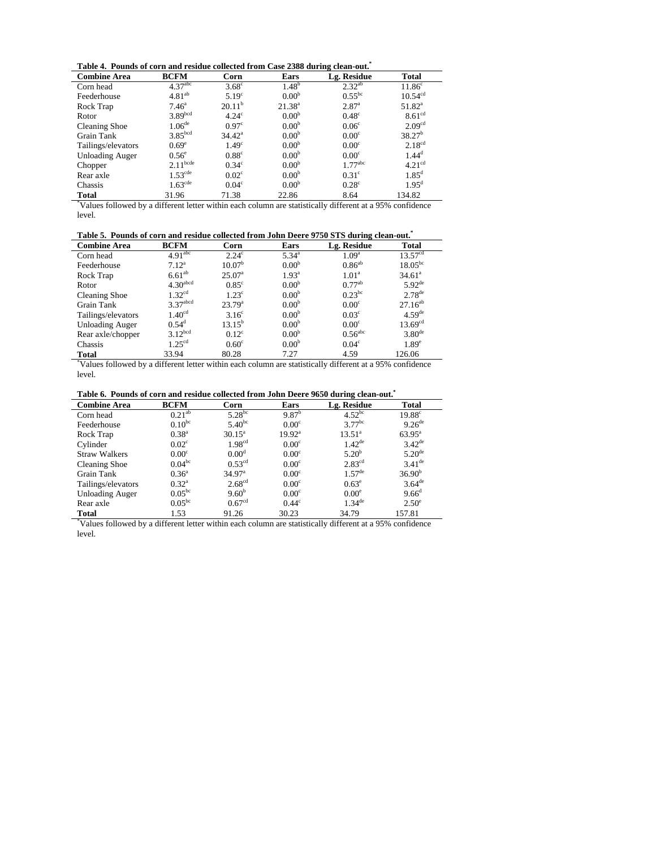**Table 4. Pounds of corn and residue collected from Case 2388 during clean-out.\***

| <b>Combine Area</b>                                                                                      | <b>BCFM</b>            | Corn               | Ears              | Lg. Residue           | Total               |
|----------------------------------------------------------------------------------------------------------|------------------------|--------------------|-------------------|-----------------------|---------------------|
| Corn head                                                                                                | 4.37 <sup>abc</sup>    | $3.68^\circ$       | 1.48 <sup>b</sup> | $2.32^{ab}$           | 11.86 <sup>c</sup>  |
| Feederhouse                                                                                              | $4.81^{ab}$            | $5.19^{\circ}$     | 0.00 <sup>b</sup> | $0.55^{bc}$           | 10.54 <sup>cd</sup> |
| Rock Trap                                                                                                | $7.46^{\circ}$         | 20.11 <sup>b</sup> | $21.38^{a}$       | 2.87 <sup>a</sup>     | $51.82^a$           |
| Rotor                                                                                                    | 3.89 <sup>bcd</sup>    | $4.24^\circ$       | 0.00 <sup>b</sup> | $0.48^{\circ}$        | 8.61 <sup>cd</sup>  |
| Cleaning Shoe                                                                                            | 1.06 <sup>de</sup>     | 0.97 <sup>c</sup>  | 0.00 <sup>b</sup> | 0.06 <sup>c</sup>     | 2.09 <sup>cd</sup>  |
| Grain Tank                                                                                               | 3.85 <sup>bcd</sup>    | $34.42^{\rm a}$    | 0.00 <sup>b</sup> | 0.00 <sup>c</sup>     | $38.27^b$           |
| Tailings/elevators                                                                                       | 0.69 <sup>e</sup>      | 1.49 <sup>c</sup>  | 0.00 <sup>b</sup> | 0.00 <sup>c</sup>     | 2.18 <sup>cd</sup>  |
| <b>Unloading Auger</b>                                                                                   | 0.56 <sup>e</sup>      | 0.88 <sup>c</sup>  | 0.00 <sup>b</sup> | 0.00 <sup>c</sup>     | $1.44^d$            |
| Chopper                                                                                                  | $2.11$ <sup>bcde</sup> | $0.34^\circ$       | 0.00 <sup>b</sup> | $1.77$ <sup>abc</sup> | 4.21 <sup>cd</sup>  |
| Rear axle                                                                                                | $1.53$ <sup>cde</sup>  | 0.02 <sup>c</sup>  | 0.00 <sup>b</sup> | $0.31^{\circ}$        | $1.85^{\rm d}$      |
| Chassis                                                                                                  | 1.63 <sup>cde</sup>    | 0.04 <sup>c</sup>  | 0.00 <sup>b</sup> | 0.28 <sup>c</sup>     | $1.95^{\rm d}$      |
| <b>Total</b>                                                                                             | 31.96                  | 71.38              | 22.86             | 8.64                  | 134.82              |
| Values followed by a different letter within each column are statistically different at a 95% confidence |                        |                    |                   |                       |                     |

## **Table 5. Pounds of corn and residue collected from John Deere 9750 STS during clean-out.\***

| <b>Combine Area</b>                                                                                      | <b>BCFM</b>          | Corn               | Ears              | Lg. Residue           | <b>Total</b>         |
|----------------------------------------------------------------------------------------------------------|----------------------|--------------------|-------------------|-----------------------|----------------------|
| Corn head                                                                                                | 4.91 <sup>abc</sup>  | $2.24^\circ$       | $5.34^{\circ}$    | 1.09 <sup>a</sup>     | 13.57 <sup>cd</sup>  |
| Feederhouse                                                                                              | $7.12^a$             | 10.07 <sup>b</sup> | 0.00 <sup>b</sup> | $0.86^{ab}$           | $18.05^{bc}$         |
| Rock Trap                                                                                                | $6.61^{ab}$          | $25.07^{\circ}$    | $1.93^{\circ}$    | 1.01 <sup>a</sup>     | $34.61^a$            |
| Rotor                                                                                                    | 4.30 <sup>abcd</sup> | $0.85^\circ$       | 0.00 <sup>b</sup> | $0.77^{ab}$           | $5.92^{\text{de}}$   |
| Cleaning Shoe                                                                                            | 1.32 <sup>cd</sup>   | $1.23^{\circ}$     | 0.00 <sup>b</sup> | $0.23^{bc}$           | $2.78$ <sup>de</sup> |
| Grain Tank                                                                                               | $3.37$ abcd          | $23.79^{\rm a}$    | 0.00 <sup>b</sup> | 0.00 <sup>c</sup>     | $27.16^{ab}$         |
| Tailings/elevators                                                                                       | 1.40 <sup>cd</sup>   | 3.16 <sup>c</sup>  | 0.00 <sup>b</sup> | 0.03 <sup>c</sup>     | $4.59^{\text{de}}$   |
| <b>Unloading Auger</b>                                                                                   | $0.54^{\rm d}$       | $13.15^{b}$        | 0.00 <sup>b</sup> | 0.00 <sup>c</sup>     | 13.69 <sup>cd</sup>  |
| Rear axle/chopper                                                                                        | 3.12 <sup>bcd</sup>  | 0.12 <sup>c</sup>  | 0.00 <sup>b</sup> | $0.56$ <sup>abc</sup> | $3.80^{\text{de}}$   |
| Chassis                                                                                                  | 1.25 <sup>cd</sup>   | 0.60 <sup>c</sup>  | 0.00 <sup>b</sup> | 0.04 <sup>c</sup>     | $1.89^e$             |
| <b>Total</b>                                                                                             | 33.94                | 80.28              | 7.27              | 4.59                  | 126.06               |
| Values followed by a different letter within each column are statistically different at a 95% confidence |                      |                    |                   |                       |                      |

level.

# **Table 6. Pounds of corn and residue collected from John Deere 9650 during clean-out.\***

| Table 6. Founds of corn and residue collected from John Deere 9650 during clean-out.                     |                    |                    |                    |                    |                    |  |
|----------------------------------------------------------------------------------------------------------|--------------------|--------------------|--------------------|--------------------|--------------------|--|
| <b>Combine Area</b>                                                                                      | <b>BCFM</b>        | Corn               | Ears               | Lg. Residue        | Total              |  |
| Corn head                                                                                                | 0.21 <sup>ab</sup> | $5.28^{bc}$        | $9.87^{b}$         | $4.52^{bc}$        | 19.88 <sup>c</sup> |  |
| Feederhouse                                                                                              | $0.10^{bc}$        | $5.40^{bc}$        | 0.00 <sup>c</sup>  | $3.77^{bc}$        | $9.26^{de}$        |  |
| Rock Trap                                                                                                | $0.38^{\rm a}$     | $30.15^{\circ}$    | $19.92^{\text{a}}$ | $13.51^{\circ}$    | $63.95^{\text{a}}$ |  |
| Cylinder                                                                                                 | $0.02^{\circ}$     | 1.98 <sup>cd</sup> | 0.00 <sup>c</sup>  | $1.42^{\text{de}}$ | $3.42^{\text{de}}$ |  |
| <b>Straw Walkers</b>                                                                                     | 0.00 <sup>c</sup>  | 0.00 <sup>d</sup>  | 0.00 <sup>c</sup>  | $5.20^{b}$         | $5.20^{\text{de}}$ |  |
| Cleaning Shoe                                                                                            | 0.04 <sup>bc</sup> | 0.53 <sup>cd</sup> | 0.00 <sup>c</sup>  | 2.83 <sup>cd</sup> | $3.41^{\text{de}}$ |  |
| Grain Tank                                                                                               | $0.36^{\circ}$     | 34.97 <sup>a</sup> | 0.00 <sup>c</sup>  | $1.57^{\text{de}}$ | 36.90 <sup>b</sup> |  |
| Tailings/elevators                                                                                       | $0.32^{\rm a}$     | 2.68 <sup>cd</sup> | 0.00 <sup>c</sup>  | 0.63 <sup>e</sup>  | $3.64^{\text{de}}$ |  |
| <b>Unloading Auger</b>                                                                                   | $0.05^{bc}$        | 9.60 <sup>b</sup>  | 0.00 <sup>c</sup>  | 0.00 <sup>e</sup>  | $9.66^{\rm d}$     |  |
| Rear axle                                                                                                | $0.05^{bc}$        | 0.67 <sup>cd</sup> | $0.44^{\circ}$     | $1.34^{\text{de}}$ | $2.50^{\circ}$     |  |
| <b>Total</b>                                                                                             | 1.53               | 91.26              | 30.23              | 34.79              | 157.81             |  |
| Values followed by a different letter within each column are statistically different at a 95% confidence |                    |                    |                    |                    |                    |  |

level.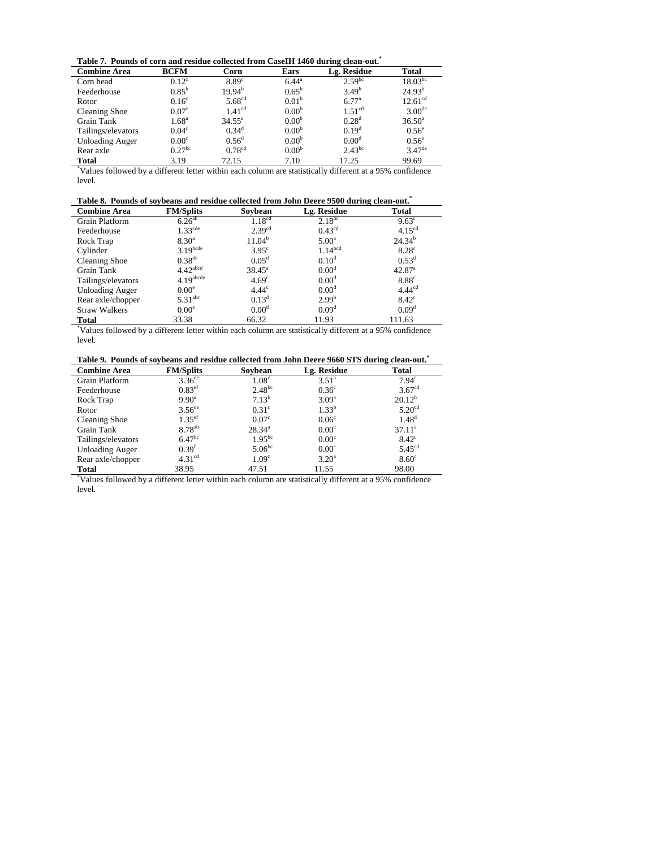**Table 7. Pounds of corn and residue collected from CaseIH 1460 during clean-out.\***

| <b>Combine Area</b>                                                                                       | <b>BCFM</b>       | Corn               | Ears              | Lg. Residue        | Total               |  |  |
|-----------------------------------------------------------------------------------------------------------|-------------------|--------------------|-------------------|--------------------|---------------------|--|--|
| Corn head                                                                                                 | $0.12^{\circ}$    | 8.89 <sup>c</sup>  | $6.44^{\circ}$    | $2.59^{bc}$        | $18.03^{bc}$        |  |  |
| Feederhouse                                                                                               | $0.85^{\rm b}$    | $19.94^{\rm b}$    | $0.65^{\rm b}$    | 3.49 <sup>b</sup>  | $24.93^{b}$         |  |  |
| Rotor                                                                                                     | 0.16 <sup>c</sup> | $5.68^{cd}$        | 0.01 <sup>b</sup> | 6.77 <sup>a</sup>  | 12.61 <sup>cd</sup> |  |  |
| Cleaning Shoe                                                                                             | 0.07 <sup>c</sup> | 1.41 <sup>cd</sup> | 0.00 <sup>b</sup> | 1.51 <sup>cd</sup> | 3.00 <sup>de</sup>  |  |  |
| Grain Tank                                                                                                | 1.68 <sup>a</sup> | $34.55^{\circ}$    | 0.00 <sup>b</sup> | $0.28^{d}$         | $36.50^{\circ}$     |  |  |
| Tailings/elevators                                                                                        | 0.04 <sup>c</sup> | $0.34^d$           | 0.00 <sup>b</sup> | 0.19 <sup>d</sup>  | 0.56 <sup>e</sup>   |  |  |
| <b>Unloading Auger</b>                                                                                    | 0.00 <sup>c</sup> | $0.56^{\rm d}$     | 0.00 <sup>b</sup> | 0.00 <sup>d</sup>  | 0.56 <sup>e</sup>   |  |  |
| Rear axle                                                                                                 | $0.27^{bc}$       | 0.78 <sup>cd</sup> | 0.00 <sup>b</sup> | $2.43^{bc}$        | $3.47^{\text{de}}$  |  |  |
| <b>Total</b>                                                                                              | 3.19              | 72.15              | 7.10              | 17.25              | 99.69               |  |  |
| *Values followed by a different letter within each column are statistically different at a 95% confidence |                   |                    |                   |                    |                     |  |  |

| Table 8. Pounds of soybeans and residue collected from John Deere 9500 during clean-out." |  |  |  |  |  |  |
|-------------------------------------------------------------------------------------------|--|--|--|--|--|--|
|-------------------------------------------------------------------------------------------|--|--|--|--|--|--|

| <b>Combine Area</b>    | <b>FM/Splits</b>       | Sovbean            | Lg. Residue        | <b>Total</b>       |
|------------------------|------------------------|--------------------|--------------------|--------------------|
| Grain Platform         | $6.26^{ab}$            | 1.18 <sup>cd</sup> | $2.18^{bc}$        | $9.63^{\circ}$     |
| Feederhouse            | 1.33 <sup>cde</sup>    | 2.39 <sup>cd</sup> | 0.43 <sup>cd</sup> | 4.15 <sup>cd</sup> |
| Rock Trap              | $8.30^{\circ}$         | 11.04 <sup>b</sup> | $5.00^{\circ}$     | $24.34^{b}$        |
| Cylinder               | $3.19$ bcde            | $3.95^{\circ}$     | $1.14^{bcd}$       | 8.28 <sup>c</sup>  |
| Cleaning Shoe          | $0.38^{\text{de}}$     | $0.05^{\rm d}$     | 0.10 <sup>d</sup>  | $0.53^d$           |
| Grain Tank             | $4.42$ <sup>abcd</sup> | $38.45^{\circ}$    | 0.00 <sup>d</sup>  | 42.87 <sup>a</sup> |
| Tailings/elevators     | $4.19$ abcde           | 4.69 <sup>c</sup>  | 0.00 <sup>d</sup>  | 8.88 <sup>c</sup>  |
| <b>Unloading Auger</b> | 0.00 <sup>e</sup>      | 4.44 <sup>c</sup>  | 0.00 <sup>d</sup>  | 4.44 <sup>cd</sup> |
| Rear axle/chopper      | 5.31 <sup>abc</sup>    | $0.13^d$           | 2.99 <sup>b</sup>  | $8.42^{\circ}$     |
| <b>Straw Walkers</b>   | 0.00 <sup>e</sup>      | 0.00 <sup>d</sup>  | 0.09 <sup>d</sup>  | 0.09 <sup>d</sup>  |
| Total                  | 33.38                  | 66.32              | 11.93              | 111.63             |

**Total** 33.38 66.32 11.93 111.63<br>
<sup>33.38</sup> \*Values followed by a different letter within each column are statistically different at a 95% confidence level.

| Table 9. Pounds of soybeans and residue collected from John Deere 9660 STS during clean-out. |  |
|----------------------------------------------------------------------------------------------|--|
|----------------------------------------------------------------------------------------------|--|

| Table 9. Pounds of sovbeans and residue collected from John Deere 9660 STS during clean-out. |                      |                    |                                                                                                          |                    |  |  |  |
|----------------------------------------------------------------------------------------------|----------------------|--------------------|----------------------------------------------------------------------------------------------------------|--------------------|--|--|--|
| <b>Combine Area</b>                                                                          | <b>FM/Splits</b>     | Sovbean            | Lg. Residue                                                                                              | Total              |  |  |  |
| Grain Platform                                                                               | $3.36^{\text{de}}$   | 1.08 <sup>c</sup>  | $3.51^{\circ}$                                                                                           | 7.94 <sup>c</sup>  |  |  |  |
| Feederhouse                                                                                  | $0.83$ <sup>ef</sup> | 2.48 <sup>bc</sup> | 0.36 <sup>c</sup>                                                                                        | 3.67 <sup>cd</sup> |  |  |  |
| Rock Trap                                                                                    | $9.90^{\rm a}$       | $7.13^b$           | 3.09 <sup>a</sup>                                                                                        | $20.12^b$          |  |  |  |
| Rotor                                                                                        | $3.56$ <sup>de</sup> | $0.31^{\circ}$     | $1.33^{b}$                                                                                               | $5.20^{cd}$        |  |  |  |
| Cleaning Shoe                                                                                | $1.35$ <sup>ef</sup> | 0.07 <sup>c</sup>  | 0.06 <sup>c</sup>                                                                                        | $1.48^{d}$         |  |  |  |
| Grain Tank                                                                                   | $8.78^{ab}$          | $28.34^{\circ}$    | 0.00 <sup>c</sup>                                                                                        | $37.11^a$          |  |  |  |
| Tailings/elevators                                                                           | 6.47 <sup>bc</sup>   | $1.95^{bc}$        | 0.00 <sup>c</sup>                                                                                        | $8.42^{\circ}$     |  |  |  |
| <b>Unloading Auger</b>                                                                       | 0.39 <sup>t</sup>    | $5.06^{bc}$        | 0.00 <sup>c</sup>                                                                                        | 5.45 <sup>cd</sup> |  |  |  |
| Rear axle/chopper                                                                            | 4.31 <sup>cd</sup>   | 1.09 <sup>c</sup>  | $3.20^{\circ}$                                                                                           | 8.60 <sup>c</sup>  |  |  |  |
| <b>Total</b>                                                                                 | 38.95                | 47.51              | 11.55                                                                                                    | 98.00              |  |  |  |
|                                                                                              |                      |                    | Values followed by a different letter within each column are statistically different at a 95% confidence |                    |  |  |  |

level.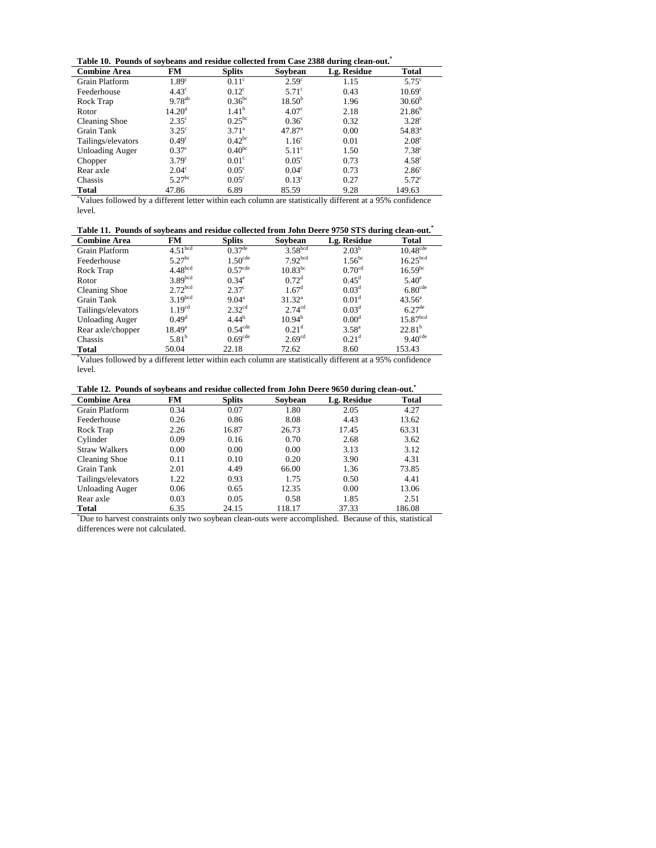**Table 10. Pounds of soybeans and residue collected from Case 2388 during clean-out.\***

| <b>Combine Area</b>                                                                                      | FМ                | <b>Splits</b>     | Soybean            | Lg. Residue | <b>Total</b>       |
|----------------------------------------------------------------------------------------------------------|-------------------|-------------------|--------------------|-------------|--------------------|
| Grain Platform                                                                                           | 1.89 <sup>c</sup> | 0.11 <sup>c</sup> | $2.59^\circ$       | 1.15        | $5.75^{\circ}$     |
| Feederhouse                                                                                              | 4.43 <sup>c</sup> | $0.12^{\circ}$    | $5.71^{\circ}$     | 0.43        | 10.69 <sup>c</sup> |
| Rock Trap                                                                                                | $9.78^{ab}$       | $0.36^{bc}$       | 18.50 <sup>b</sup> | 1.96        | 30.60 <sup>b</sup> |
| Rotor                                                                                                    | $14.20^{\rm a}$   | 1.41 <sup>b</sup> | 4.07 <sup>c</sup>  | 2.18        | $21.86^{b}$        |
| Cleaning Shoe                                                                                            | $2.35^{\circ}$    | $0.25^{bc}$       | 0.36 <sup>c</sup>  | 0.32        | $3.28^{\circ}$     |
| Grain Tank                                                                                               | $3.25^{\circ}$    | $3.71^{\circ}$    | 47.87 <sup>a</sup> | 0.00        | $54.83^{\circ}$    |
| Tailings/elevators                                                                                       | 0.49 <sup>c</sup> | $0.42^{bc}$       | 1.16 <sup>c</sup>  | 0.01        | 2.08 <sup>c</sup>  |
| <b>Unloading Auger</b>                                                                                   | 0.37 <sup>c</sup> | $0.40^{bc}$       | $5.11^{\circ}$     | 1.50        | 7.38 <sup>c</sup>  |
| Chopper                                                                                                  | 3.79 <sup>c</sup> | 0.01 <sup>c</sup> | 0.05 <sup>c</sup>  | 0.73        | 4.58 <sup>c</sup>  |
| Rear axle                                                                                                | $2.04^{\circ}$    | $0.05^{\circ}$    | $0.04^\circ$       | 0.73        | $2.86^{\circ}$     |
| Chassis                                                                                                  | $5.27^{bc}$       | 0.05 <sup>c</sup> | $0.13^{\circ}$     | 0.27        | $5.72^{\circ}$     |
| <b>Total</b>                                                                                             | 47.86             | 6.89              | 85.59              | 9.28        | 149.63             |
| Values followed by a different letter within each column are statistically different at a 95% confidence |                   |                   |                    |             |                    |

# **Table 11. Pounds of soybeans and residue collected from John Deere 9750 STS during clean-out.\***

| <b>Combine Area</b>                                                                                      | FM                  | <b>Splits</b>         | Sovbean             | Lg. Residue       | <b>Total</b>         |
|----------------------------------------------------------------------------------------------------------|---------------------|-----------------------|---------------------|-------------------|----------------------|
| Grain Platform                                                                                           | 4.51 <sup>bcd</sup> | $0.37^{de}$           | 3.58 <sup>bcd</sup> | $2.03^{b}$        | 10.48 <sup>cde</sup> |
| Feederhouse                                                                                              | $5.27^{bc}$         | $1.50$ <sup>cde</sup> | 7.92 <sup>bcd</sup> | $1.56^{bc}$       | 16.25 <sup>bcd</sup> |
| Rock Trap                                                                                                | 4.48 <sup>bcd</sup> | $0.57$ <sup>cde</sup> | $10.83^{bc}$        | $0.70^{cd}$       | $16.59^{bc}$         |
| Rotor                                                                                                    | 3.89 <sup>bcd</sup> | $0.34^e$              | $0.72^d$            | $0.45^{\rm d}$    | $5.40^\circ$         |
| Cleaning Shoe                                                                                            | 2.72 <sup>bcd</sup> | 2.37 <sup>c</sup>     | 1.67 <sup>d</sup>   | $0.03^d$          | 6.80 <sup>cde</sup>  |
| Grain Tank                                                                                               | 3.19 <sup>bcd</sup> | $9.04^{\rm a}$        | $31.32^{\circ}$     | 0.01 <sup>d</sup> | $43.56^{\circ}$      |
| Tailings/elevators                                                                                       | $1.19^{cd}$         | 2.32 <sup>cd</sup>    | 2.74 <sup>cd</sup>  | 0.03 <sup>d</sup> | $6.27$ <sup>de</sup> |
| <b>Unloading Auger</b>                                                                                   | $0.49^d$            | $4.44^{b}$            | $10.94^{b}$         | 0.00 <sup>d</sup> | 15.87 <sup>bcd</sup> |
| Rear axle/chopper                                                                                        | $18.49^{\rm a}$     | $0.54$ <sup>cde</sup> | 0.21 <sup>d</sup>   | $3.58^{a}$        | 22.81 <sup>b</sup>   |
| Chassis                                                                                                  | 5.81 <sup>b</sup>   | 0.69 <sup>cde</sup>   | 2.69 <sup>cd</sup>  | 0.21 <sup>d</sup> | $9.40^{\text{cde}}$  |
| Total                                                                                                    | 50.04               | 22.18                 | 72.62               | 8.60              | 153.43               |
| Values followed by a different letter within each column are statistically different at a 95% confidence |                     |                       |                     |                   |                      |

level.

| Table 12. Pounds of soybeans and residue collected from John Deere 9650 during clean-out." |      |               |         |             |       |
|--------------------------------------------------------------------------------------------|------|---------------|---------|-------------|-------|
| <b>Combine Area</b>                                                                        | FМ   | <b>Splits</b> | Soybean | Lg. Residue | Total |
| <b>Grain Platform</b>                                                                      | 0.34 | 0.07          | 1.80    | 2.05        | 4.27  |
| Feederhouse                                                                                | 0.26 | 0.86          | 8.08    | 4.43        | 13.62 |
| Rock Trap                                                                                  | 2.26 | 16.87         | 26.73   | 17.45       | 63.31 |
| Cylinder                                                                                   | 0.09 | 0.16          | 0.70    | 2.68        | 3.62  |
| <b>Straw Walkers</b>                                                                       | 0.00 | 0.00          | 0.00    | 3.13        | 3.12  |
| Cleaning Shoe                                                                              | 0.11 | 0.10          | 0.20    | 3.90        | 4.31  |
| Grain Tank                                                                                 | 2.01 | 4.49          | 66.00   | 1.36        | 73.85 |
| Tailings/elevators                                                                         | 1.22 | 0.93          | 1.75    | 0.50        | 4.41  |
| <b>Unloading Auger</b>                                                                     | 0.06 | 0.65          | 12.35   | 0.00        | 13.06 |
| Rear axle                                                                                  | 0.03 | 0.05          | 0.58    | 1.85        | 2.51  |

**Total** 6.35 24.15 118.17 37.33 186.08<br>
\*Due to harvest constraints only two soybean clean-outs were accomplished. Because of this, statistical differences were not calculated.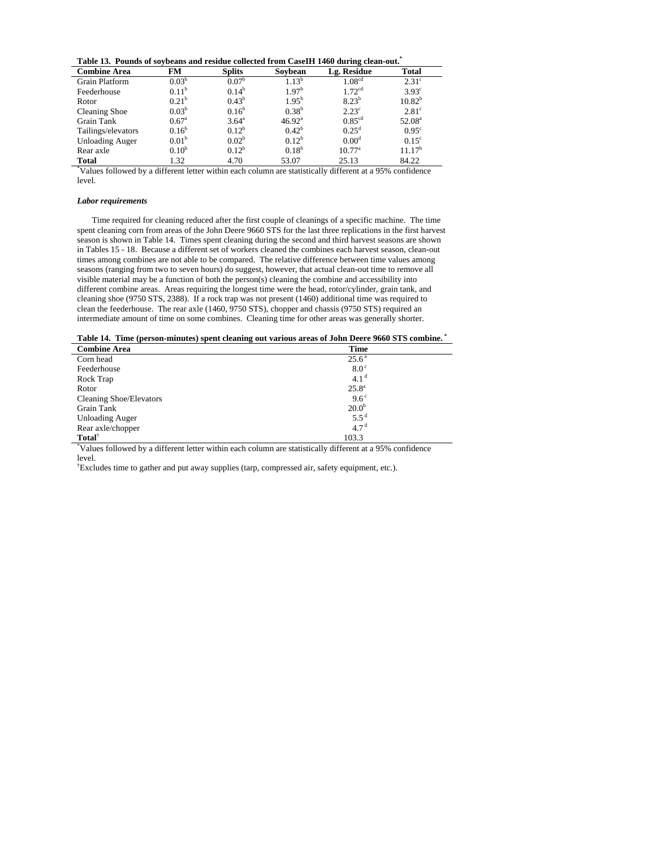| Table 13. Pounds of soybeans and residue collected from CaseIH 1460 during clean-out. |  |  |  |  |  |  |
|---------------------------------------------------------------------------------------|--|--|--|--|--|--|
|---------------------------------------------------------------------------------------|--|--|--|--|--|--|

| <b>Combine Area</b>                                                                                       | FМ                | <b>Splits</b>     | Soybean            | Lg. Residue        | <b>Total</b>       |
|-----------------------------------------------------------------------------------------------------------|-------------------|-------------------|--------------------|--------------------|--------------------|
| <b>Grain Platform</b>                                                                                     | $0.03^{b}$        | 0.07 <sup>b</sup> | $1.13^{b}$         | 1.08 <sup>cd</sup> | $2.31^{\circ}$     |
| Feederhouse                                                                                               | 0.11 <sup>b</sup> | $0.14^{b}$        | 1.97 <sup>b</sup>  | 1.72 <sup>cd</sup> | 3.93 <sup>c</sup>  |
| Rotor                                                                                                     | 0.21 <sup>b</sup> | $0.43^{b}$        | $1.95^{b}$         | $8.23^{b}$         | $10.82^{b}$        |
| Cleaning Shoe                                                                                             | $0.03^b$          | $0.16^{\rm b}$    | $0.38^{b}$         | $2.23^{\circ}$     | $2.81^{\circ}$     |
| Grain Tank                                                                                                | $0.67^{\rm a}$    | $3.64^{\circ}$    | 46.92 <sup>a</sup> | 0.85 <sup>cd</sup> | 52.08 <sup>a</sup> |
| Tailings/elevators                                                                                        | $0.16^{\rm b}$    | $0.12^b$          | $0.42^b$           | $0.25^{\rm d}$     | 0.95 <sup>c</sup>  |
| <b>Unloading Auger</b>                                                                                    | 0.01 <sup>b</sup> | 0.02 <sup>b</sup> | $0.12^{b}$         | 0.00 <sup>d</sup>  | $0.15^{\circ}$     |
| Rear axle                                                                                                 | $0.10^{b}$        | $0.12^{b}$        | $0.18^{b}$         | $10.77^{\rm a}$    | $11.17^{b}$        |
| <b>Total</b>                                                                                              | 1.32              | 4.70              | 53.07              | 25.13              | 84.22              |
| *Values followed by a different letter within each column are statistically different at a 95% confidence |                   |                   |                    |                    |                    |

### *Labor requirements*

Time required for cleaning reduced after the first couple of cleanings of a specific machine. The time spent cleaning corn from areas of the John Deere 9660 STS for the last three replications in the first harvest season is shown in Table 14. Times spent cleaning during the second and third harvest seasons are shown in Tables 15 - 18. Because a different set of workers cleaned the combines each harvest season, clean-out times among combines are not able to be compared. The relative difference between time values among seasons (ranging from two to seven hours) do suggest, however, that actual clean-out time to remove all visible material may be a function of both the person(s) cleaning the combine and accessibility into different combine areas. Areas requiring the longest time were the head, rotor/cylinder, grain tank, and cleaning shoe (9750 STS, 2388). If a rock trap was not present (1460) additional time was required to clean the feederhouse. The rear axle (1460, 9750 STS), chopper and chassis (9750 STS) required an intermediate amount of time on some combines. Cleaning time for other areas was generally shorter.

**Table 14. Time (person-minutes) spent cleaning out various areas of John Deere 9660 STS combine. \*** 

| <b>Combine Area</b>                                                                                      | Time              |
|----------------------------------------------------------------------------------------------------------|-------------------|
| Corn head                                                                                                | $25.6^{\text{a}}$ |
| Feederhouse                                                                                              | 8.0 <sup>c</sup>  |
| Rock Trap                                                                                                | 4.1 <sup>d</sup>  |
| Rotor                                                                                                    | $25.8^{\rm a}$    |
| <b>Cleaning Shoe/Elevators</b>                                                                           | $9.6^\circ$       |
| Grain Tank                                                                                               | 20.0 <sup>b</sup> |
| <b>Unloading Auger</b>                                                                                   | $5.5^{\rm d}$     |
| Rear axle/chopper                                                                                        | 4.7 <sup>d</sup>  |
| Total <sup>†</sup>                                                                                       | 103.3             |
| Values followed by a different letter within each column are statistically different at a 95% confidence |                   |

level.

† Excludes time to gather and put away supplies (tarp, compressed air, safety equipment, etc.).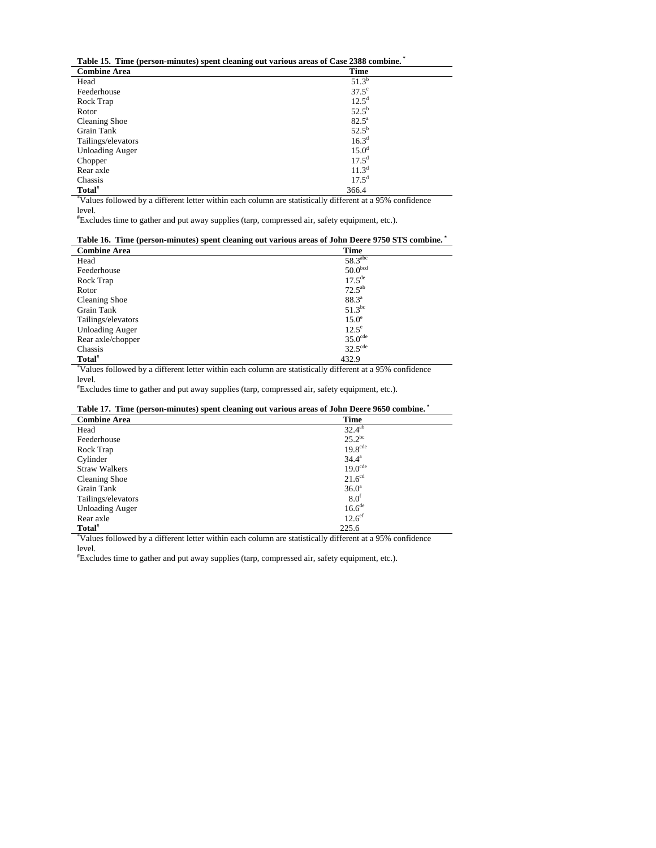**Table 15. Time (person-minutes) spent cleaning out various areas of Case 2388 combine. \*** 

| <b>Combine Area</b>                                                                                      | <b>Time</b>       |  |  |  |
|----------------------------------------------------------------------------------------------------------|-------------------|--|--|--|
| Head                                                                                                     | $51.3^{b}$        |  |  |  |
| Feederhouse                                                                                              | $37.5^{\circ}$    |  |  |  |
| Rock Trap                                                                                                | $12.5^{\rm d}$    |  |  |  |
| Rotor                                                                                                    | $52.5^{b}$        |  |  |  |
| <b>Cleaning Shoe</b>                                                                                     | $82.5^{\circ}$    |  |  |  |
| Grain Tank                                                                                               | $52.5^{\rm b}$    |  |  |  |
| Tailings/elevators                                                                                       | $16.3^{d}$        |  |  |  |
| <b>Unloading Auger</b>                                                                                   | 15.0 <sup>d</sup> |  |  |  |
| Chopper                                                                                                  | $17.5^{\rm d}$    |  |  |  |
| Rear axle                                                                                                | $11.3^d$          |  |  |  |
| Chassis                                                                                                  | $17.5^{\rm d}$    |  |  |  |
| Total <sup>#</sup>                                                                                       | 366.4             |  |  |  |
| Values followed by a different letter within each column are statistically different at a 95% confidence |                   |  |  |  |

level.<br><sup>#</sup>Excludes time to gather and put away supplies (tarp, compressed air, safety equipment, etc.).

| "able 16. Time (person-minutes) spent cleaning out various areas of John Deere 9750 STS combine." |
|---------------------------------------------------------------------------------------------------|
|---------------------------------------------------------------------------------------------------|

| <b>Combine Area</b>                                                                                      | Time                  |
|----------------------------------------------------------------------------------------------------------|-----------------------|
| Head                                                                                                     | 58.3 <sup>abc</sup>   |
| Feederhouse                                                                                              | 50.0 <sup>bcd</sup>   |
| Rock Trap                                                                                                | $17.5^{\text{de}}$    |
| Rotor                                                                                                    | $72.5^{ab}$           |
| Cleaning Shoe                                                                                            | $88.3^{a}$            |
| Grain Tank                                                                                               | $51.3^{bc}$           |
| Tailings/elevators                                                                                       | $15.0^\circ$          |
| <b>Unloading Auger</b>                                                                                   | $12.5^{\circ}$        |
| Rear axle/chopper                                                                                        | $35.0$ <sup>cde</sup> |
| Chassis                                                                                                  | $32.5$ <sup>cde</sup> |
| Total <sup>#</sup>                                                                                       | 432.9                 |
| Values followed by a different letter within each column are statistically different at a 95% confidence |                       |

level.

**#** Excludes time to gather and put away supplies (tarp, compressed air, safety equipment, etc.).

|              | Table 17. Time (person-minutes) spent cleaning out various areas of John Deere 9650 combine. <sup>*</sup> |
|--------------|-----------------------------------------------------------------------------------------------------------|
| Combine Area | Time                                                                                                      |

| <b>Combine Area</b>                                                                                      | Time                  |
|----------------------------------------------------------------------------------------------------------|-----------------------|
| Head                                                                                                     | $32.4^{ab}$           |
| Feederhouse                                                                                              | $25.2^{bc}$           |
| Rock Trap                                                                                                | 19.8 <sup>cde</sup>   |
| Cylinder                                                                                                 | $34.4^{\rm a}$        |
| <b>Straw Walkers</b>                                                                                     | $19.0$ <sup>cde</sup> |
| Cleaning Shoe                                                                                            | 21.6 <sup>cd</sup>    |
| Grain Tank                                                                                               | $36.0^{\circ}$        |
| Tailings/elevators                                                                                       | $8.0^{t}$             |
| <b>Unloading Auger</b>                                                                                   | 16.6 <sup>de</sup>    |
| Rear axle                                                                                                | 12.6 <sup>ef</sup>    |
| $Total*$                                                                                                 | 225.6                 |
| Values followed by a different letter within each column are statistically different at a 95% confidence |                       |

level.<br><sup>#</sup>Excludes time to gather and put away supplies (tarp, compressed air, safety equipment, etc.).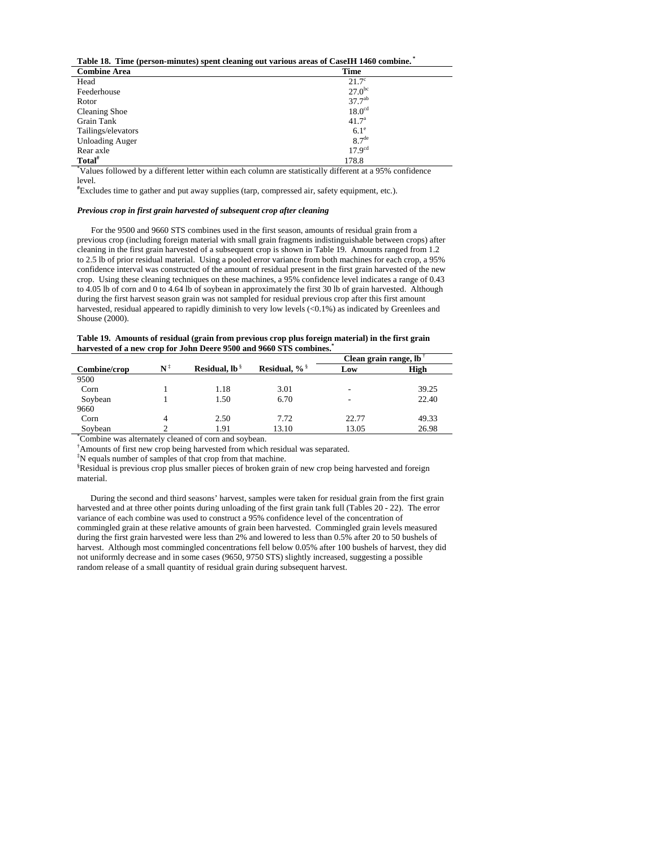**Table 18. Time (person-minutes) spent cleaning out various areas of CaseIH 1460 combine. \*** 

| <b>Combine Area</b>    | Time                                                                                                     |
|------------------------|----------------------------------------------------------------------------------------------------------|
| Head                   | $21.7^{\circ}$                                                                                           |
| Feederhouse            | 27.0 <sup>bc</sup>                                                                                       |
| Rotor                  | $37.7^{ab}$                                                                                              |
| <b>Cleaning Shoe</b>   | 18.0 <sup>cd</sup>                                                                                       |
| Grain Tank             | 41.7 <sup>a</sup>                                                                                        |
| Tailings/elevators     | $6.1^\circ$                                                                                              |
| <b>Unloading Auger</b> | 8.7 <sup>de</sup>                                                                                        |
| Rear axle              | 17.9 <sup>cd</sup>                                                                                       |
| Total <sup>#</sup>     | 178.8                                                                                                    |
|                        | Values followed by a different letter within each column are statistically different at a 95% confidence |

**#** Excludes time to gather and put away supplies (tarp, compressed air, safety equipment, etc.).

### *Previous crop in first grain harvested of subsequent crop after cleaning*

For the 9500 and 9660 STS combines used in the first season, amounts of residual grain from a previous crop (including foreign material with small grain fragments indistinguishable between crops) after cleaning in the first grain harvested of a subsequent crop is shown in Table 19. Amounts ranged from 1.2 to 2.5 lb of prior residual material. Using a pooled error variance from both machines for each crop, a 95% confidence interval was constructed of the amount of residual present in the first grain harvested of the new crop. Using these cleaning techniques on these machines, a 95% confidence level indicates a range of 0.43 to 4.05 lb of corn and 0 to 4.64 lb of soybean in approximately the first 30 lb of grain harvested. Although during the first harvest season grain was not sampled for residual previous crop after this first amount harvested, residual appeared to rapidly diminish to very low levels (<0.1%) as indicated by Greenlees and Shouse (2000).

**Table 19. Amounts of residual (grain from previous crop plus foreign material) in the first grain harvested of a new crop for John Deere 9500 and 9660 STS combines.\*** 

|              |                         |                                        |                             | Clean grain range, lb |       |  |
|--------------|-------------------------|----------------------------------------|-----------------------------|-----------------------|-------|--|
| Combine/crop | $\mathbf{N}^{\ddagger}$ | Residual, $\mathbf{I} \mathbf{b}^{\S}$ | Residual, $\%$ <sup>§</sup> | Low                   | High  |  |
| 9500         |                         |                                        |                             |                       |       |  |
| Corn         |                         | 1.18                                   | 3.01                        | -                     | 39.25 |  |
| Soybean      |                         | 1.50                                   | 6.70                        | -                     | 22.40 |  |
| 9660         |                         |                                        |                             |                       |       |  |
| Corn         | 4                       | 2.50                                   | 7.72                        | 22.77                 | 49.33 |  |
| Soybean      |                         | 1.91                                   | 13.10                       | 13.05                 | 26.98 |  |
| $* - - - -$  |                         | $\sim$ $\sim$                          |                             |                       |       |  |

\* Combine was alternately cleaned of corn and soybean. †

Amounts of first new crop being harvested from which residual was separated.

‡ N equals number of samples of that crop from that machine.

§ Residual is previous crop plus smaller pieces of broken grain of new crop being harvested and foreign material.

During the second and third seasons' harvest, samples were taken for residual grain from the first grain harvested and at three other points during unloading of the first grain tank full (Tables 20 - 22). The error variance of each combine was used to construct a 95% confidence level of the concentration of commingled grain at these relative amounts of grain been harvested. Commingled grain levels measured during the first grain harvested were less than 2% and lowered to less than 0.5% after 20 to 50 bushels of harvest. Although most commingled concentrations fell below 0.05% after 100 bushels of harvest, they did not uniformly decrease and in some cases (9650, 9750 STS) slightly increased, suggesting a possible random release of a small quantity of residual grain during subsequent harvest.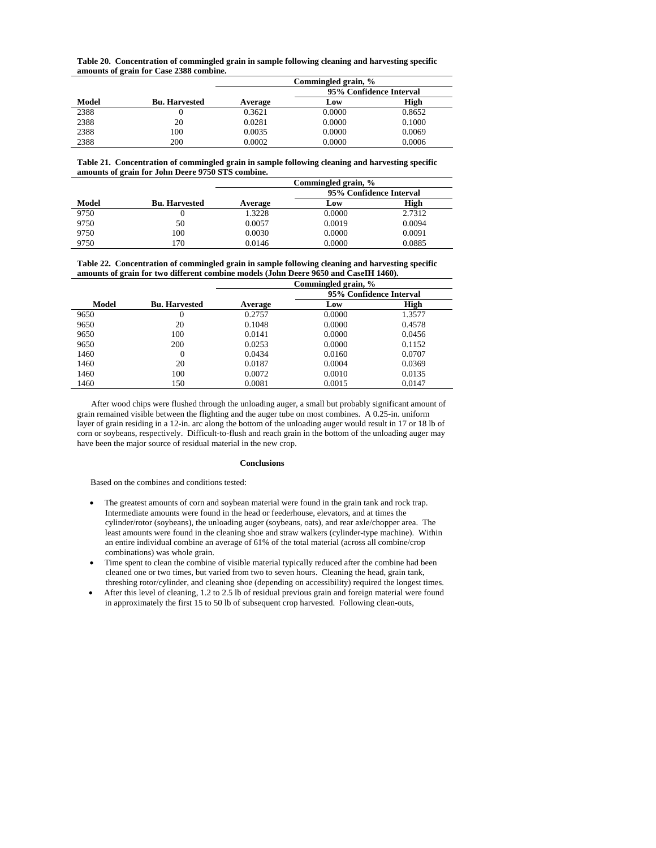| Table 20. Concentration of commingled grain in sample following cleaning and harvesting specific |
|--------------------------------------------------------------------------------------------------|
| amounts of grain for Case 2388 combine.                                                          |

|       |                      | Commingled grain, %     |        |        |
|-------|----------------------|-------------------------|--------|--------|
|       |                      | 95% Confidence Interval |        |        |
| Model | <b>Bu. Harvested</b> | Average                 | Low    | High   |
| 2388  |                      | 0.3621                  | 0.0000 | 0.8652 |
| 2388  | 20                   | 0.0281                  | 0.0000 | 0.1000 |
| 2388  | 100                  | 0.0035                  | 0.0000 | 0.0069 |
| 2388  | 200                  | 0.0002                  | 0.0000 | 0.0006 |

**Table 21. Concentration of commingled grain in sample following cleaning and harvesting specific amounts of grain for John Deere 9750 STS combine.** 

|       |                      | Commingled grain, %     |        |        |
|-------|----------------------|-------------------------|--------|--------|
|       |                      | 95% Confidence Interval |        |        |
| Model | <b>Bu. Harvested</b> | Average                 | Low    | High   |
| 9750  |                      | 1.3228                  | 0.0000 | 2.7312 |
| 9750  | 50                   | 0.0057                  | 0.0019 | 0.0094 |
| 9750  | 100                  | 0.0030                  | 0.0000 | 0.0091 |
| 9750  | 170                  | 0.0146                  | 0.0000 | 0.0885 |

**Table 22. Concentration of commingled grain in sample following cleaning and harvesting specific amounts of grain for two different combine models (John Deere 9650 and CaseIH 1460).** 

|       |                      | Commingled grain, %     |        |        |  |
|-------|----------------------|-------------------------|--------|--------|--|
|       |                      | 95% Confidence Interval |        |        |  |
| Model | <b>Bu. Harvested</b> | Average                 | Low    | High   |  |
| 9650  | 0                    | 0.2757                  | 0.0000 | 1.3577 |  |
| 9650  | 20                   | 0.1048                  | 0.0000 | 0.4578 |  |
| 9650  | 100                  | 0.0141                  | 0.0000 | 0.0456 |  |
| 9650  | 200                  | 0.0253                  | 0.0000 | 0.1152 |  |
| 1460  | $\Omega$             | 0.0434                  | 0.0160 | 0.0707 |  |
| 1460  | 20                   | 0.0187                  | 0.0004 | 0.0369 |  |
| 1460  | 100                  | 0.0072                  | 0.0010 | 0.0135 |  |
| 1460  | 150                  | 0.0081                  | 0.0015 | 0.0147 |  |

After wood chips were flushed through the unloading auger, a small but probably significant amount of grain remained visible between the flighting and the auger tube on most combines. A 0.25-in. uniform layer of grain residing in a 12-in. arc along the bottom of the unloading auger would result in 17 or 18 lb of corn or soybeans, respectively. Difficult-to-flush and reach grain in the bottom of the unloading auger may have been the major source of residual material in the new crop.

### **Conclusions**

Based on the combines and conditions tested:

- The greatest amounts of corn and soybean material were found in the grain tank and rock trap. Intermediate amounts were found in the head or feederhouse, elevators, and at times the cylinder/rotor (soybeans), the unloading auger (soybeans, oats), and rear axle/chopper area. The least amounts were found in the cleaning shoe and straw walkers (cylinder-type machine). Within an entire individual combine an average of 61% of the total material (across all combine/crop combinations) was whole grain.
- Time spent to clean the combine of visible material typically reduced after the combine had been cleaned one or two times, but varied from two to seven hours. Cleaning the head, grain tank, threshing rotor/cylinder, and cleaning shoe (depending on accessibility) required the longest times.
- After this level of cleaning, 1.2 to 2.5 lb of residual previous grain and foreign material were found in approximately the first 15 to 50 lb of subsequent crop harvested. Following clean-outs,